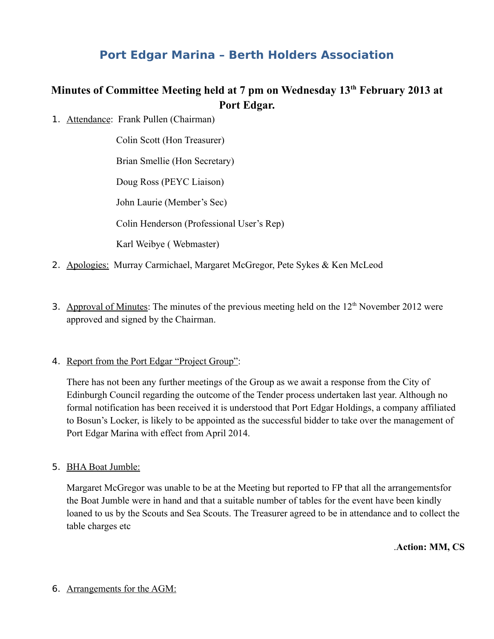# **Port Edgar Marina – Berth Holders Association**

## **Minutes of Committee Meeting held at 7 pm on Wednesday 13th February 2013 at Port Edgar.**

1. Attendance: Frank Pullen (Chairman)

Colin Scott (Hon Treasurer) Brian Smellie (Hon Secretary) Doug Ross (PEYC Liaison) John Laurie (Member's Sec) Colin Henderson (Professional User's Rep) Karl Weibye ( Webmaster)

- 2. Apologies: Murray Carmichael, Margaret McGregor, Pete Sykes & Ken McLeod
- 3. Approval of Minutes: The minutes of the previous meeting held on the  $12<sup>th</sup>$  November 2012 were approved and signed by the Chairman.
- 4. Report from the Port Edgar "Project Group":

There has not been any further meetings of the Group as we await a response from the City of Edinburgh Council regarding the outcome of the Tender process undertaken last year. Although no formal notification has been received it is understood that Port Edgar Holdings, a company affiliated to Bosun's Locker, is likely to be appointed as the successful bidder to take over the management of Port Edgar Marina with effect from April 2014.

5. BHA Boat Jumble:

Margaret McGregor was unable to be at the Meeting but reported to FP that all the arrangementsfor the Boat Jumble were in hand and that a suitable number of tables for the event have been kindly loaned to us by the Scouts and Sea Scouts. The Treasurer agreed to be in attendance and to collect the table charges etc

.**Action: MM, CS**

6. Arrangements for the AGM: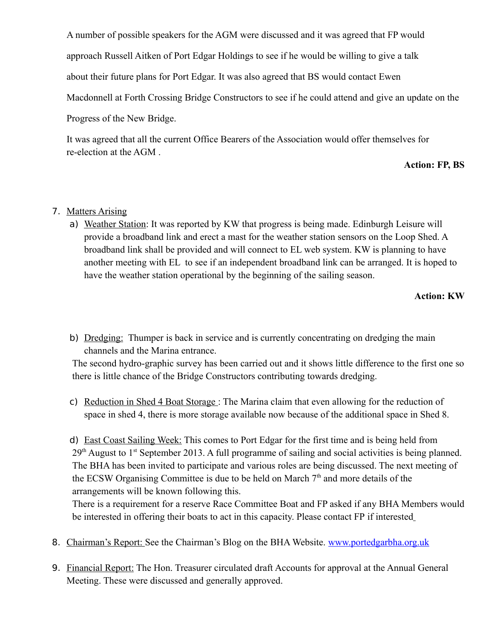A number of possible speakers for the AGM were discussed and it was agreed that FP would approach Russell Aitken of Port Edgar Holdings to see if he would be willing to give a talk about their future plans for Port Edgar. It was also agreed that BS would contact Ewen Macdonnell at Forth Crossing Bridge Constructors to see if he could attend and give an update on the Progress of the New Bridge.

It was agreed that all the current Office Bearers of the Association would offer themselves for re-election at the AGM .

### **Action: FP, BS**

## 7. Matters Arising

a) Weather Station: It was reported by KW that progress is being made. Edinburgh Leisure will provide a broadband link and erect a mast for the weather station sensors on the Loop Shed. A broadband link shall be provided and will connect to EL web system. KW is planning to have another meeting with EL to see if an independent broadband link can be arranged. It is hoped to have the weather station operational by the beginning of the sailing season.

**Action: KW**

b) Dredging: Thumper is back in service and is currently concentrating on dredging the main channels and the Marina entrance.

The second hydro-graphic survey has been carried out and it shows little difference to the first one so there is little chance of the Bridge Constructors contributing towards dredging.

c) Reduction in Shed 4 Boat Storage : The Marina claim that even allowing for the reduction of space in shed 4, there is more storage available now because of the additional space in Shed 8.

d) East Coast Sailing Week: This comes to Port Edgar for the first time and is being held from 29<sup>th</sup> August to 1<sup>st</sup> September 2013. A full programme of sailing and social activities is being planned. The BHA has been invited to participate and various roles are being discussed. The next meeting of the ECSW Organising Committee is due to be held on March  $7<sup>th</sup>$  and more details of the arrangements will be known following this.

There is a requirement for a reserve Race Committee Boat and FP asked if any BHA Members would be interested in offering their boats to act in this capacity. Please contact FP if interested

- 8. Chairman's Report: See the Chairman's Blog on the BHA Website. [www.portedgarbha.org.uk](http://www.portedgarbha.org.uk/)
- 9. Financial Report: The Hon. Treasurer circulated draft Accounts for approval at the Annual General Meeting. These were discussed and generally approved.